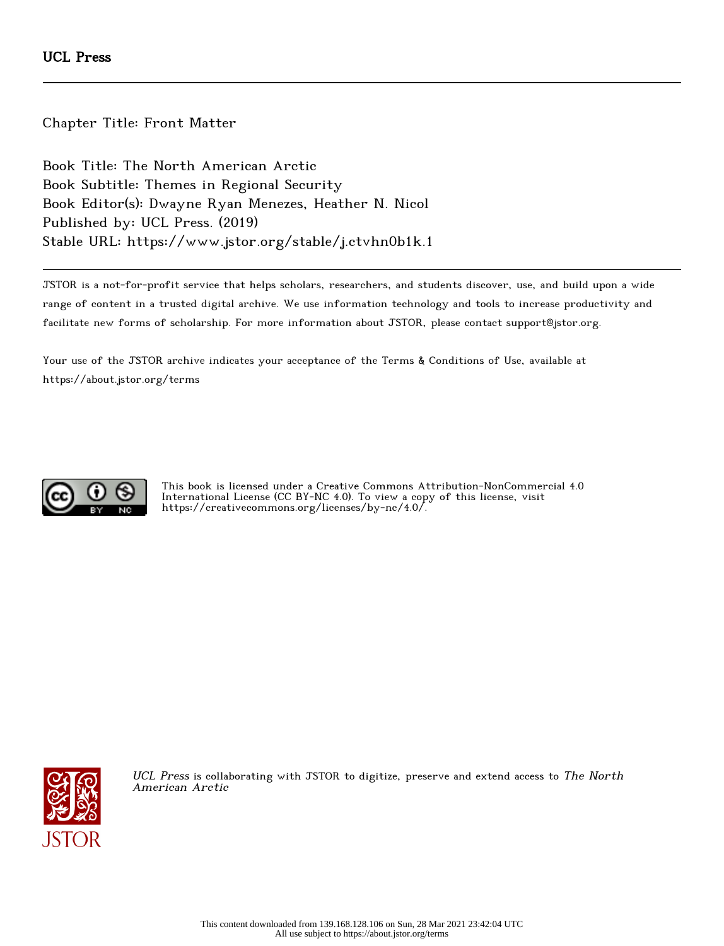Chapter Title: Front Matter

Book Title: The North American Arctic Book Subtitle: Themes in Regional Security Book Editor(s): Dwayne Ryan Menezes, Heather N. Nicol Published by: UCL Press. (2019) Stable URL: https://www.jstor.org/stable/j.ctvhn0b1k.1

JSTOR is a not-for-profit service that helps scholars, researchers, and students discover, use, and build upon a wide range of content in a trusted digital archive. We use information technology and tools to increase productivity and facilitate new forms of scholarship. For more information about JSTOR, please contact support@jstor.org.

Your use of the JSTOR archive indicates your acceptance of the Terms & Conditions of Use, available at https://about.jstor.org/terms



This book is licensed under a Creative Commons Attribution-NonCommercial 4.0 International License (CC BY-NC 4.0). To view a copy of this license, visit https://creativecommons.org/licenses/by-nc/4.0/.



UCL Press is collaborating with JSTOR to digitize, preserve and extend access to The North American Arctic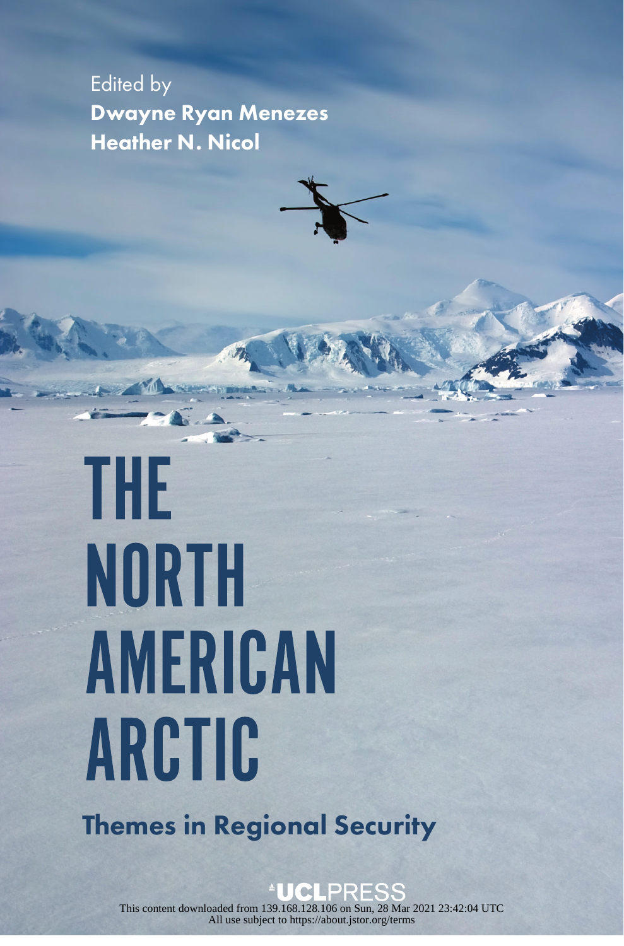Edited by Dwayne Ryan Menezes Heather N. Nicol



# **THE NORTH** AMERICAN ARCTIC

Themes in Regional Security

 $^{\mathrm{A}}$  U **ICLPR** This content downloaded from 139.168.128.106 on Sun, 28 Mar 2021 23:42:04 UTC All use subject to https://about.jstor.org/terms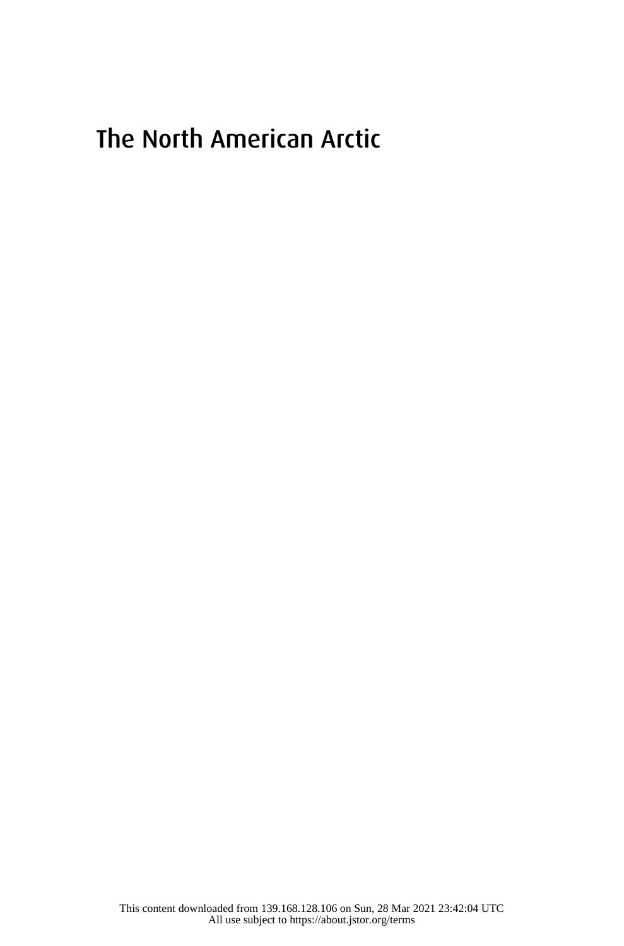## The North American Arctic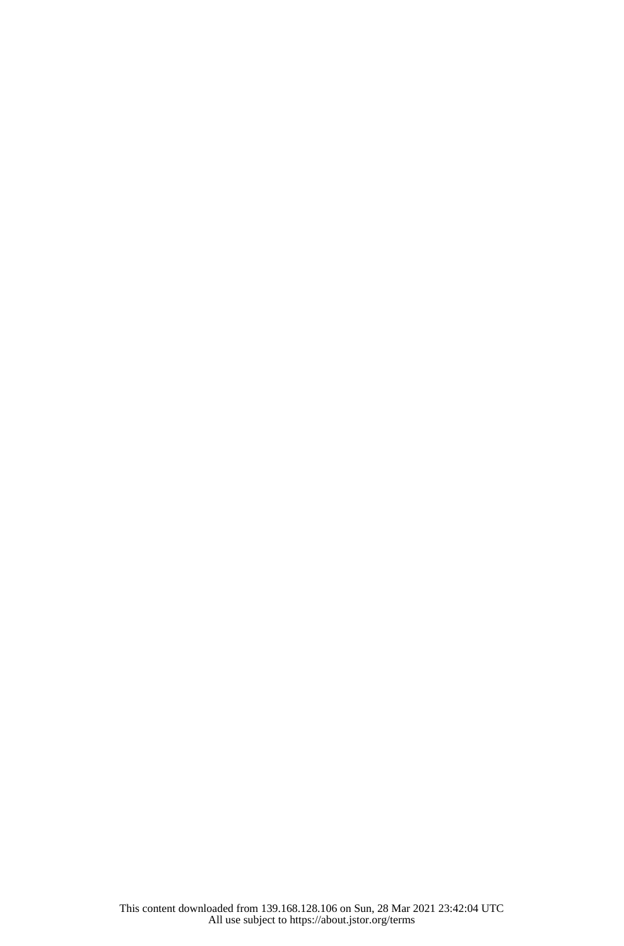This content downloaded from 139.168.128.106 on Sun, 28 Mar 2021 23:42:04 UTC All use subject to https://about.jstor.org/terms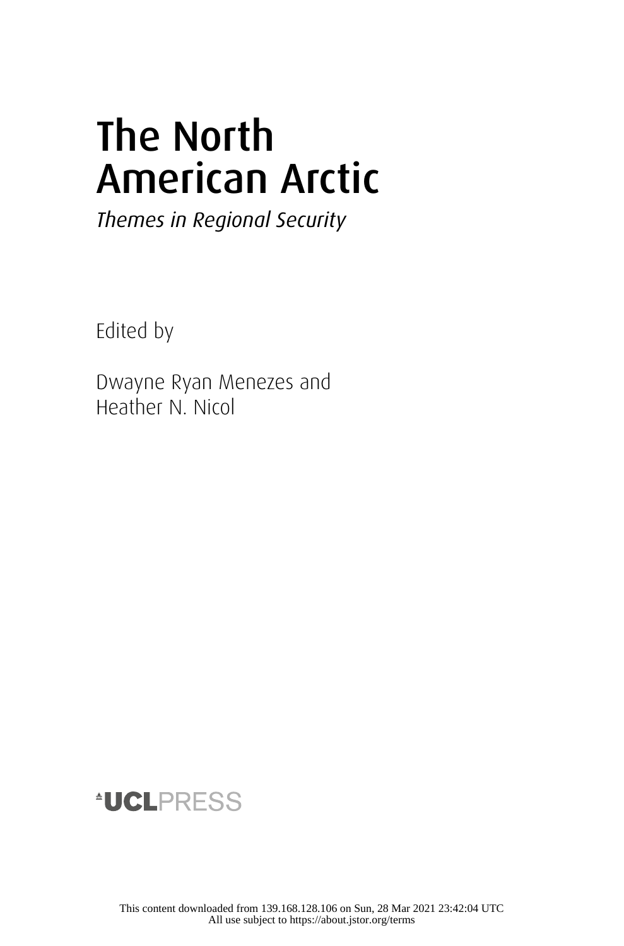# The North American Arctic

*Themes in Regional Security*

Edited by

Dwayne Ryan Menezes and Heather N. Nicol

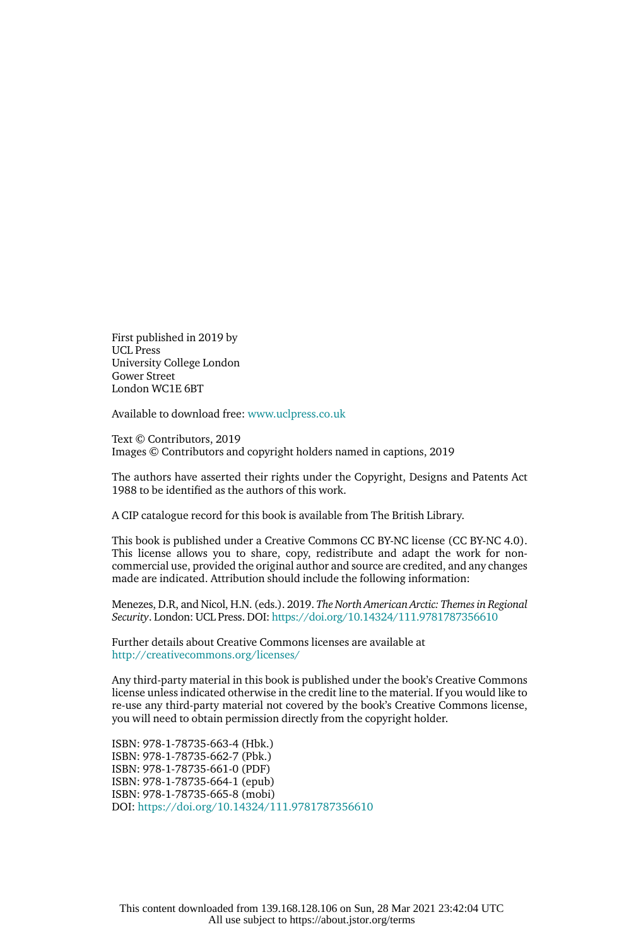First published in 2019 by UCL Press University College London Gower Street London WC1E 6BT

Available to download free: <www.uclpress.co.uk>

Text © Contributors, 2019 Images © Contributors and copyright holders named in captions, 2019

The authors have asserted their rights under the Copyright, Designs and Patents Act 1988 to be identified as the authors of this work.

A CIP catalogue record for this book is available from The British Library.

This book is published under a Creative Commons CC BY-NC license (CC BY-NC 4.0). This license allows you to share, copy, redistribute and adapt the work for noncommercial use, provided the original author and source are credited, and any changes made are indicated. Attribution should include the following information:

Menezes, D.R, and Nicol, H.N. (eds.). 2019. *The North American Arctic: Themes in Regional Security*. London: UCL Press. DOI:<https://doi.org/10.14324/111.9781787356610>

Further details about Creative Commons licenses are available at <http://creativecommons.org/licenses/>

Any third-party material in this book is published under the book's Creative Commons license unless indicated otherwise in the credit line to the material. If you would like to re-use any third-party material not covered by the book's Creative Commons license, you will need to obtain permission directly from the copyright holder.

ISBN: 978-1-78735-663-4 (Hbk.) ISBN: 978-1-78735-662-7 (Pbk.) ISBN: 978-1-78735-661-0 (PDF) ISBN: 978-1-78735-664-1 (epub) ISBN: 978-1-78735-665-8 (mobi) DOI: <https://doi.org/10.14324/111.9781787356610>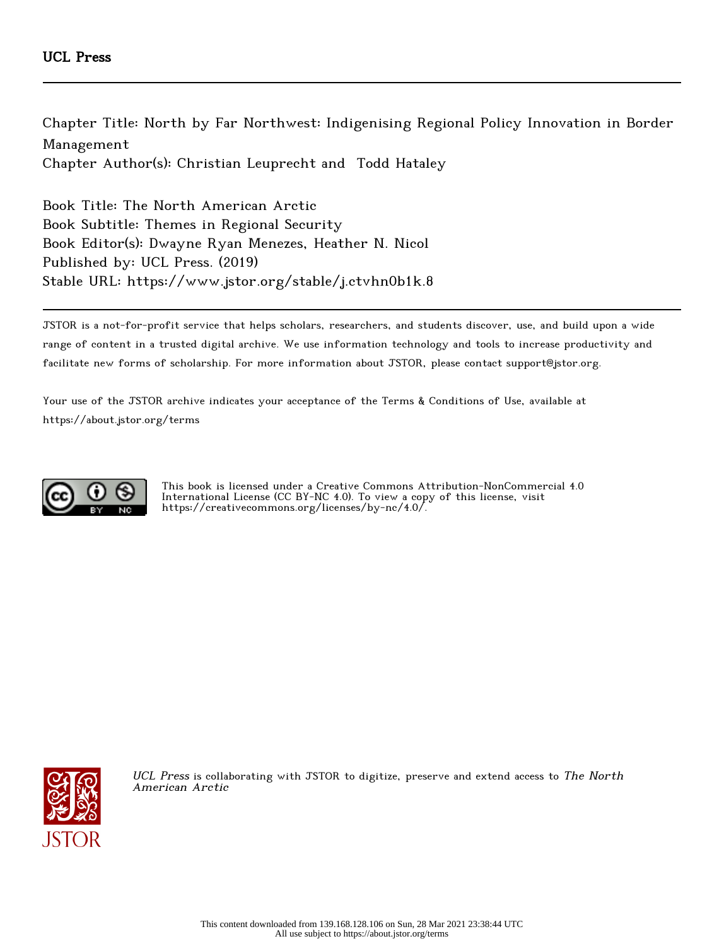#### UCL Press

Chapter Title: North by Far Northwest: Indigenising Regional Policy Innovation in Border Management

Chapter Author(s): Christian Leuprecht and Todd Hataley

Book Title: The North American Arctic Book Subtitle: Themes in Regional Security Book Editor(s): Dwayne Ryan Menezes, Heather N. Nicol Published by: UCL Press. (2019) Stable URL: https://www.jstor.org/stable/j.ctvhn0b1k.8

JSTOR is a not-for-profit service that helps scholars, researchers, and students discover, use, and build upon a wide range of content in a trusted digital archive. We use information technology and tools to increase productivity and facilitate new forms of scholarship. For more information about JSTOR, please contact support@jstor.org.

Your use of the JSTOR archive indicates your acceptance of the Terms & Conditions of Use, available at https://about.jstor.org/terms



This book is licensed under a Creative Commons Attribution-NonCommercial 4.0 International License (CC BY-NC 4.0). To view a copy of this license, visit https://creativecommons.org/licenses/by-nc/4.0/.



UCL Press is collaborating with JSTOR to digitize, preserve and extend access to The North American Arctic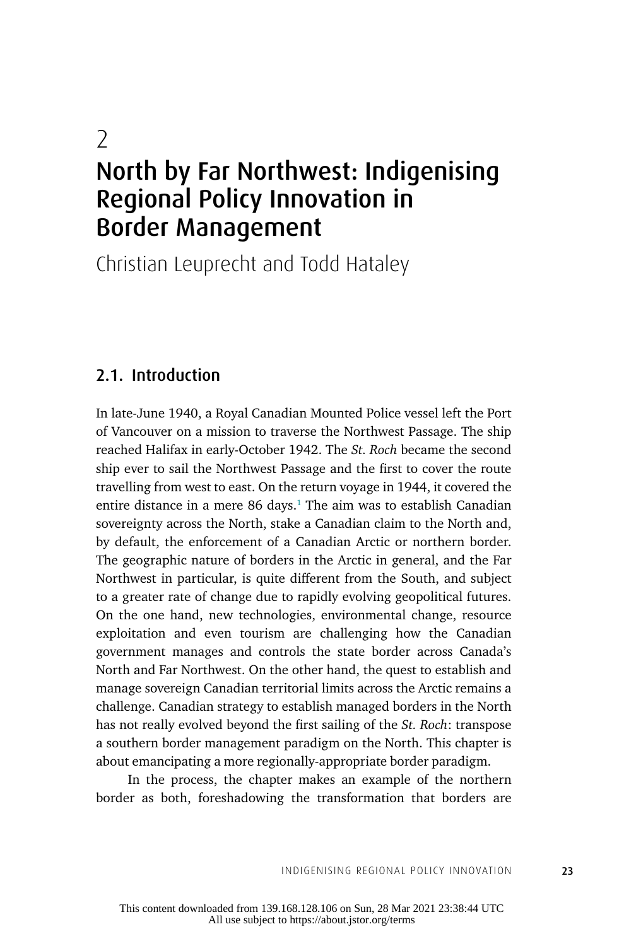### $\overline{\phantom{0}}$ North by Far Northwest: Indigenising Regional Policy Innovation in Border Management

Christian Leuprecht and Todd Hataley

#### 2.1. Introduction

In late-June 1940, a Royal Canadian Mounted Police vessel left the Port of Vancouver on a mission to traverse the Northwest Passage. The ship reached Halifax in early-October 1942. The *St. Roch* became the second ship ever to sail the Northwest Passage and the first to cover the route travelling from west to east. On the return voyage in 1944, it covered the entire distance in a mere 86 days.<sup>1</sup> The aim was to establish Canadian sovereignty across the North, stake a Canadian claim to the North and, by default, the enforcement of a Canadian Arctic or northern border. The geographic nature of borders in the Arctic in general, and the Far Northwest in particular, is quite different from the South, and subject to a greater rate of change due to rapidly evolving geopolitical futures. On the one hand, new technologies, environmental change, resource exploitation and even tourism are challenging how the Canadian government manages and controls the state border across Canada's North and Far Northwest. On the other hand, the quest to establish and manage sovereign Canadian territorial limits across the Arctic remains a challenge. Canadian strategy to establish managed borders in the North has not really evolved beyond the first sailing of the *St. Roch*: transpose a southern border management paradigm on the North. This chapter is about emancipating a more regionally-appropriate border paradigm.

In the process, the chapter makes an example of the northern border as both, foreshadowing the transformation that borders are

INDIGENISING REGIONAL POLICY INNOVATION 23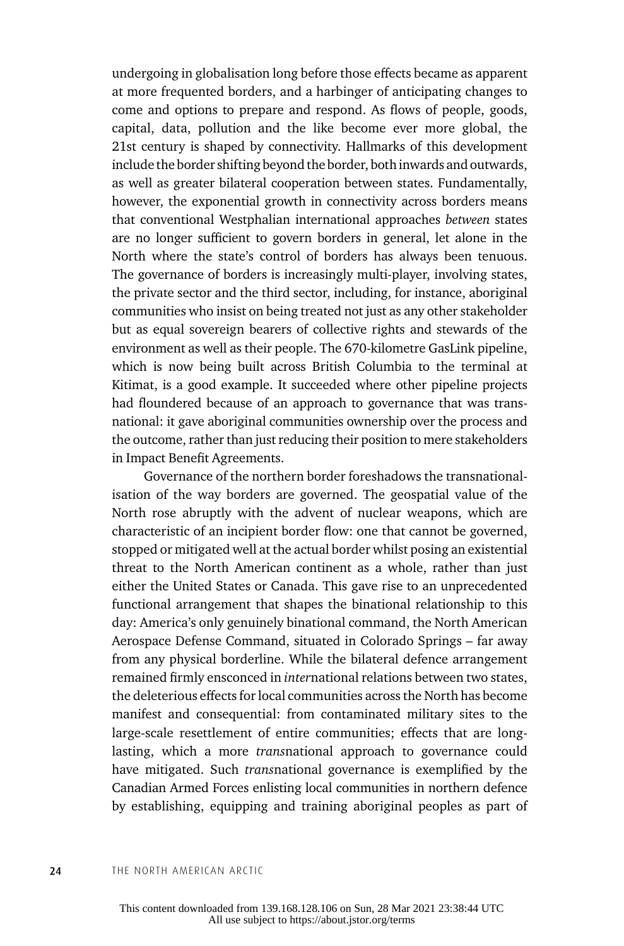undergoing in globalisation long before those effects became as apparent at more frequented borders, and a harbinger of anticipating changes to come and options to prepare and respond. As flows of people, goods, capital, data, pollution and the like become ever more global, the 21st century is shaped by connectivity. Hallmarks of this development include the border shifting beyond the border, both inwards and outwards, as well as greater bilateral cooperation between states. Fundamentally, however, the exponential growth in connectivity across borders means that conventional Westphalian international approaches *between* states are no longer sufficient to govern borders in general, let alone in the North where the state's control of borders has always been tenuous. The governance of borders is increasingly multi-player, involving states, the private sector and the third sector, including, for instance, aboriginal communities who insist on being treated not just as any other stakeholder but as equal sovereign bearers of collective rights and stewards of the environment as well as their people. The 670-kilometre GasLink pipeline, which is now being built across British Columbia to the terminal at Kitimat, is a good example. It succeeded where other pipeline projects had floundered because of an approach to governance that was transnational: it gave aboriginal communities ownership over the process and the outcome, rather than just reducing their position to mere stakeholders in Impact Benefit Agreements.

Governance of the northern border foreshadows the transnationalisation of the way borders are governed. The geospatial value of the North rose abruptly with the advent of nuclear weapons, which are characteristic of an incipient border flow: one that cannot be governed, stopped or mitigated well at the actual border whilst posing an existential threat to the North American continent as a whole, rather than just either the United States or Canada. This gave rise to an unprecedented functional arrangement that shapes the binational relationship to this day: America's only genuinely binational command, the North American Aerospace Defense Command, situated in Colorado Springs – far away from any physical borderline. While the bilateral defence arrangement remained firmly ensconced in *inter*national relations between two states, the deleterious effects for local communities across the North has become manifest and consequential: from contaminated military sites to the large-scale resettlement of entire communities; effects that are longlasting, which a more *trans*national approach to governance could have mitigated. Such *trans*national governance is exemplified by the Canadian Armed Forces enlisting local communities in northern defence by establishing, equipping and training aboriginal peoples as part of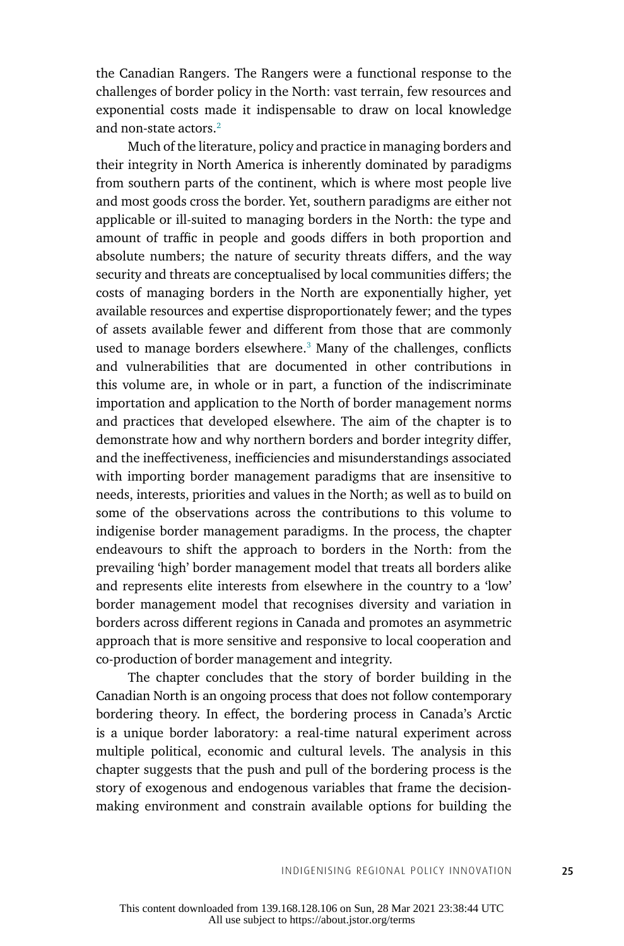the Canadian Rangers. The Rangers were a functional response to the challenges of border policy in the North: vast terrain, few resources and exponential costs made it indispensable to draw on local knowledge and non-state actors.2

Much of the literature, policy and practice in managing borders and their integrity in North America is inherently dominated by paradigms from southern parts of the continent, which is where most people live and most goods cross the border. Yet, southern paradigms are either not applicable or ill-suited to managing borders in the North: the type and amount of traffic in people and goods differs in both proportion and absolute numbers; the nature of security threats differs, and the way security and threats are conceptualised by local communities differs; the costs of managing borders in the North are exponentially higher, yet available resources and expertise disproportionately fewer; and the types of assets available fewer and different from those that are commonly used to manage borders elsewhere. $3$  Many of the challenges, conflicts and vulnerabilities that are documented in other contributions in this volume are, in whole or in part, a function of the indiscriminate importation and application to the North of border management norms and practices that developed elsewhere. The aim of the chapter is to demonstrate how and why northern borders and border integrity differ, and the ineffectiveness, inefficiencies and misunderstandings associated with importing border management paradigms that are insensitive to needs, interests, priorities and values in the North; as well as to build on some of the observations across the contributions to this volume to indigenise border management paradigms. In the process, the chapter endeavours to shift the approach to borders in the North: from the prevailing 'high' border management model that treats all borders alike and represents elite interests from elsewhere in the country to a 'low' border management model that recognises diversity and variation in borders across different regions in Canada and promotes an asymmetric approach that is more sensitive and responsive to local cooperation and co-production of border management and integrity.

The chapter concludes that the story of border building in the Canadian North is an ongoing process that does not follow contemporary bordering theory. In effect, the bordering process in Canada's Arctic is a unique border laboratory: a real-time natural experiment across multiple political, economic and cultural levels. The analysis in this chapter suggests that the push and pull of the bordering process is the story of exogenous and endogenous variables that frame the decisionmaking environment and constrain available options for building the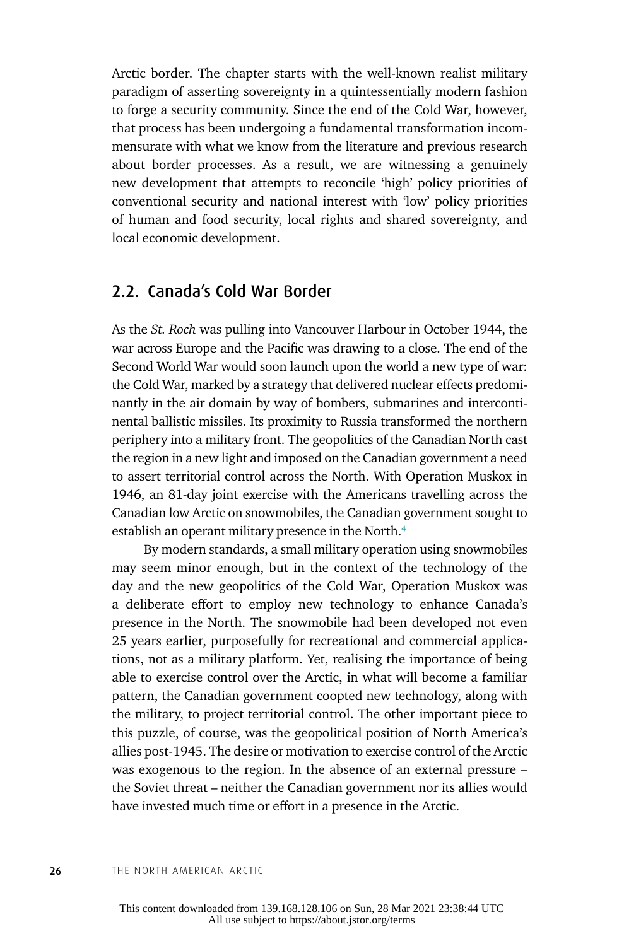Arctic border. The chapter starts with the well-known realist military paradigm of asserting sovereignty in a quintessentially modern fashion to forge a security community. Since the end of the Cold War, however, that process has been undergoing a fundamental transformation incommensurate with what we know from the literature and previous research about border processes. As a result, we are witnessing a genuinely new development that attempts to reconcile 'high' policy priorities of conventional security and national interest with 'low' policy priorities of human and food security, local rights and shared sovereignty, and local economic development.

#### 2.2. Canada's Cold War Border

As the *St. Roch* was pulling into Vancouver Harbour in October 1944, the war across Europe and the Pacific was drawing to a close. The end of the Second World War would soon launch upon the world a new type of war: the Cold War, marked by a strategy that delivered nuclear effects predominantly in the air domain by way of bombers, submarines and intercontinental ballistic missiles. Its proximity to Russia transformed the northern periphery into a military front. The geopolitics of the Canadian North cast the region in a new light and imposed on the Canadian government a need to assert territorial control across the North. With Operation Muskox in 1946, an 81-day joint exercise with the Americans travelling across the Canadian low Arctic on snowmobiles, the Canadian government sought to establish an operant military presence in the North.<sup>4</sup>

By modern standards, a small military operation using snowmobiles may seem minor enough, but in the context of the technology of the day and the new geopolitics of the Cold War, Operation Muskox was a deliberate effort to employ new technology to enhance Canada's presence in the North. The snowmobile had been developed not even 25 years earlier, purposefully for recreational and commercial applications, not as a military platform. Yet, realising the importance of being able to exercise control over the Arctic, in what will become a familiar pattern, the Canadian government coopted new technology, along with the military, to project territorial control. The other important piece to this puzzle, of course, was the geopolitical position of North America's allies post-1945. The desire or motivation to exercise control of the Arctic was exogenous to the region. In the absence of an external pressure – the Soviet threat – neither the Canadian government nor its allies would have invested much time or effort in a presence in the Arctic.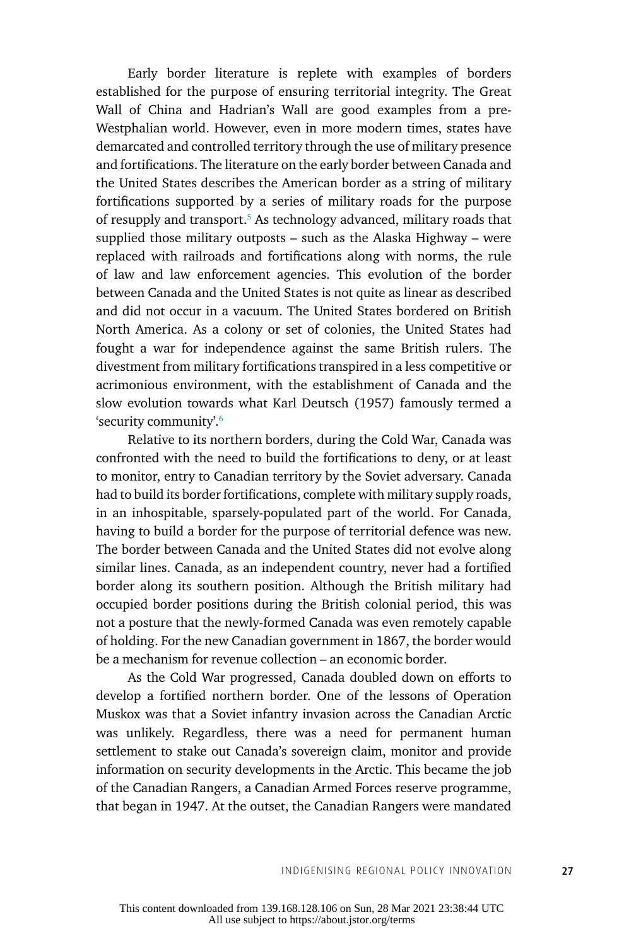Early border literature is replete with examples of borders established for the purpose of ensuring territorial integrity. The Great Wall of China and Hadrian's Wall are good examples from a pre-Westphalian world. However, even in more modern times, states have demarcated and controlled territory through the use of military presence and fortifications. The literature on the early border between Canada and the United States describes the American border as a string of military fortifications supported by a series of military roads for the purpose of resupply and transport.<sup>5</sup> As technology advanced, military roads that supplied those military outposts – such as the Alaska Highway – were replaced with railroads and fortifications along with norms, the rule of law and law enforcement agencies. This evolution of the border between Canada and the United States is not quite as linear as described and did not occur in a vacuum. The United States bordered on British North America. As a colony or set of colonies, the United States had fought a war for independence against the same British rulers. The divestment from military fortifications transpired in a less competitive or acrimonious environment, with the establishment of Canada and the slow evolution towards what Karl Deutsch (1957) famously termed a 'security community'.6

Relative to its northern borders, during the Cold War, Canada was confronted with the need to build the fortifications to deny, or at least to monitor, entry to Canadian territory by the Soviet adversary. Canada had to build its border fortifications, complete with military supply roads, in an inhospitable, sparsely-populated part of the world. For Canada, having to build a border for the purpose of territorial defence was new. The border between Canada and the United States did not evolve along similar lines. Canada, as an independent country, never had a fortified border along its southern position. Although the British military had occupied border positions during the British colonial period, this was not a posture that the newly-formed Canada was even remotely capable of holding. For the new Canadian government in 1867, the border would be a mechanism for revenue collection – an economic border.

As the Cold War progressed, Canada doubled down on efforts to develop a fortified northern border. One of the lessons of Operation Muskox was that a Soviet infantry invasion across the Canadian Arctic was unlikely. Regardless, there was a need for permanent human settlement to stake out Canada's sovereign claim, monitor and provide information on security developments in the Arctic. This became the job of the Canadian Rangers, a Canadian Armed Forces reserve programme, that began in 1947. At the outset, the Canadian Rangers were mandated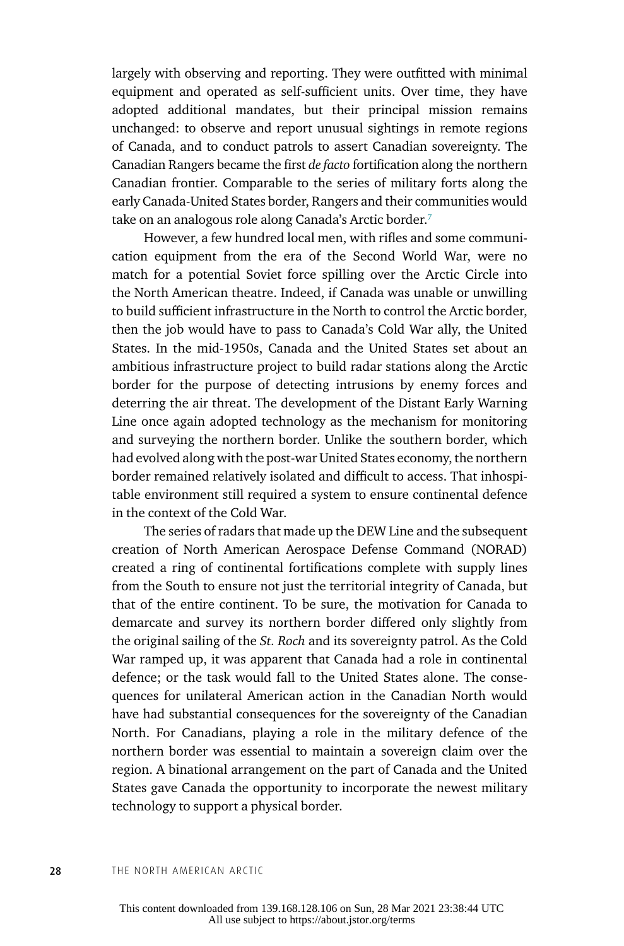largely with observing and reporting. They were outfitted with minimal equipment and operated as self-sufficient units. Over time, they have adopted additional mandates, but their principal mission remains unchanged: to observe and report unusual sightings in remote regions of Canada, and to conduct patrols to assert Canadian sovereignty. The Canadian Rangers became the first *de facto* fortification along the northern Canadian frontier. Comparable to the series of military forts along the early Canada-United States border, Rangers and their communities would take on an analogous role along Canada's Arctic border.<sup>7</sup>

However, a few hundred local men, with rifles and some communication equipment from the era of the Second World War, were no match for a potential Soviet force spilling over the Arctic Circle into the North American theatre. Indeed, if Canada was unable or unwilling to build sufficient infrastructure in the North to control the Arctic border, then the job would have to pass to Canada's Cold War ally, the United States. In the mid-1950s, Canada and the United States set about an ambitious infrastructure project to build radar stations along the Arctic border for the purpose of detecting intrusions by enemy forces and deterring the air threat. The development of the Distant Early Warning Line once again adopted technology as the mechanism for monitoring and surveying the northern border. Unlike the southern border, which had evolved along with the post-war United States economy, the northern border remained relatively isolated and difficult to access. That inhospitable environment still required a system to ensure continental defence in the context of the Cold War.

The series of radars that made up the DEW Line and the subsequent creation of North American Aerospace Defense Command (NORAD) created a ring of continental fortifications complete with supply lines from the South to ensure not just the territorial integrity of Canada, but that of the entire continent. To be sure, the motivation for Canada to demarcate and survey its northern border differed only slightly from the original sailing of the *St. Roch* and its sovereignty patrol. As the Cold War ramped up, it was apparent that Canada had a role in continental defence; or the task would fall to the United States alone. The consequences for unilateral American action in the Canadian North would have had substantial consequences for the sovereignty of the Canadian North. For Canadians, playing a role in the military defence of the northern border was essential to maintain a sovereign claim over the region. A binational arrangement on the part of Canada and the United States gave Canada the opportunity to incorporate the newest military technology to support a physical border.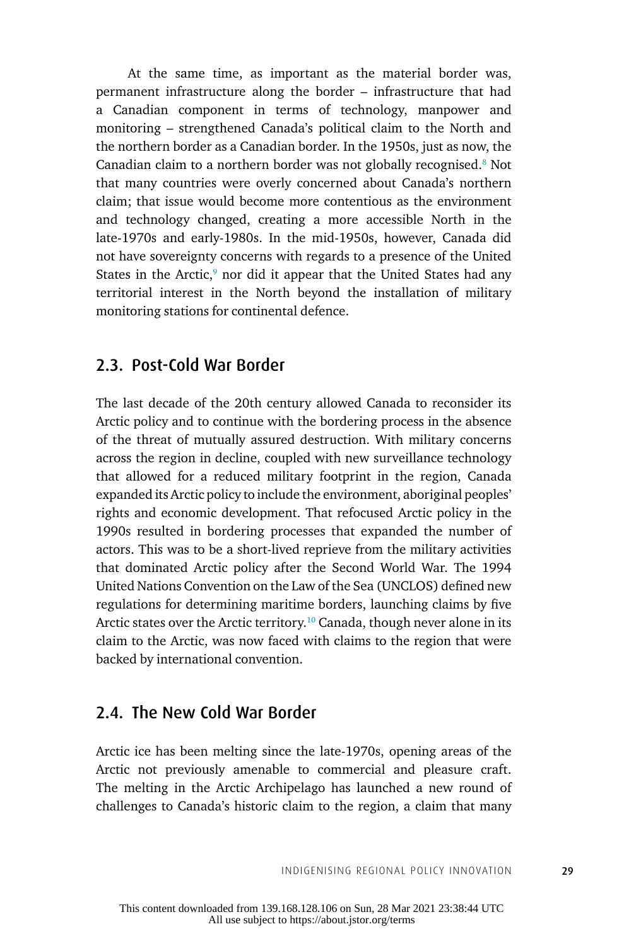At the same time, as important as the material border was, permanent infrastructure along the border – infrastructure that had a Canadian component in terms of technology, manpower and monitoring – strengthened Canada's political claim to the North and the northern border as a Canadian border. In the 1950s, just as now, the Canadian claim to a northern border was not globally recognised.<sup>8</sup> Not that many countries were overly concerned about Canada's northern claim; that issue would become more contentious as the environment and technology changed, creating a more accessible North in the late-1970s and early-1980s. In the mid-1950s, however, Canada did not have sovereignty concerns with regards to a presence of the United States in the Arctic,<sup>9</sup> nor did it appear that the United States had any territorial interest in the North beyond the installation of military monitoring stations for continental defence.

#### 2.3. Post-Cold War Border

The last decade of the 20th century allowed Canada to reconsider its Arctic policy and to continue with the bordering process in the absence of the threat of mutually assured destruction. With military concerns across the region in decline, coupled with new surveillance technology that allowed for a reduced military footprint in the region, Canada expanded its Arctic policy to include the environment, aboriginal peoples' rights and economic development. That refocused Arctic policy in the 1990s resulted in bordering processes that expanded the number of actors. This was to be a short-lived reprieve from the military activities that dominated Arctic policy after the Second World War. The 1994 United Nations Convention on the Law of the Sea (UNCLOS) defined new regulations for determining maritime borders, launching claims by five Arctic states over the Arctic territory.<sup>10</sup> Canada, though never alone in its claim to the Arctic, was now faced with claims to the region that were backed by international convention.

#### 2.4. The New Cold War Border

Arctic ice has been melting since the late-1970s, opening areas of the Arctic not previously amenable to commercial and pleasure craft. The melting in the Arctic Archipelago has launched a new round of challenges to Canada's historic claim to the region, a claim that many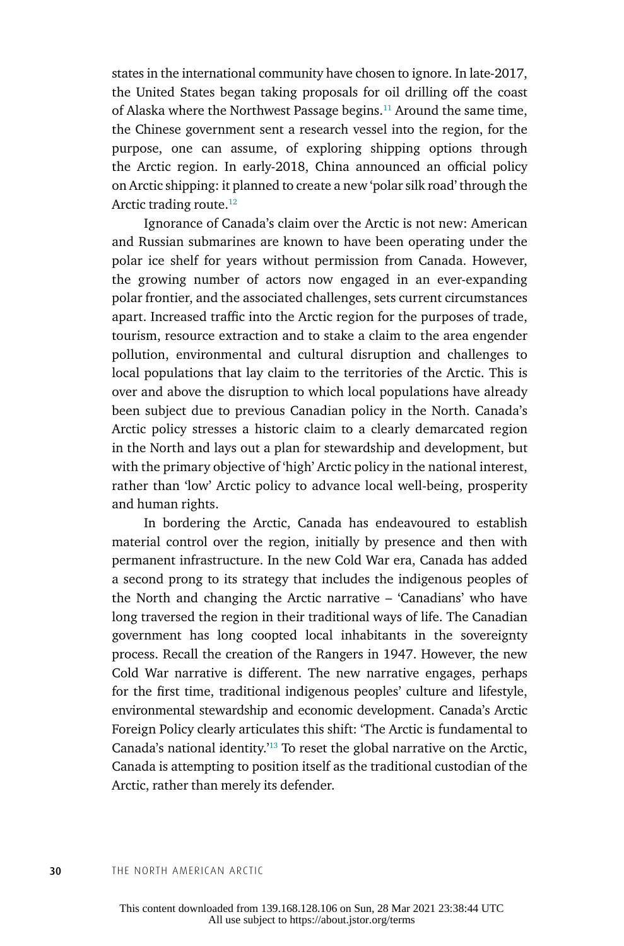states in the international community have chosen to ignore. In late-2017, the United States began taking proposals for oil drilling off the coast of Alaska where the Northwest Passage begins.<sup>11</sup> Around the same time, the Chinese government sent a research vessel into the region, for the purpose, one can assume, of exploring shipping options through the Arctic region. In early-2018, China announced an official policy on Arctic shipping: it planned to create a new 'polar silk road' through the Arctic trading route.<sup>12</sup>

Ignorance of Canada's claim over the Arctic is not new: American and Russian submarines are known to have been operating under the polar ice shelf for years without permission from Canada. However, the growing number of actors now engaged in an ever-expanding polar frontier, and the associated challenges, sets current circumstances apart. Increased traffic into the Arctic region for the purposes of trade, tourism, resource extraction and to stake a claim to the area engender pollution, environmental and cultural disruption and challenges to local populations that lay claim to the territories of the Arctic. This is over and above the disruption to which local populations have already been subject due to previous Canadian policy in the North. Canada's Arctic policy stresses a historic claim to a clearly demarcated region in the North and lays out a plan for stewardship and development, but with the primary objective of 'high' Arctic policy in the national interest, rather than 'low' Arctic policy to advance local well-being, prosperity and human rights.

In bordering the Arctic, Canada has endeavoured to establish material control over the region, initially by presence and then with permanent infrastructure. In the new Cold War era, Canada has added a second prong to its strategy that includes the indigenous peoples of the North and changing the Arctic narrative – 'Canadians' who have long traversed the region in their traditional ways of life. The Canadian government has long coopted local inhabitants in the sovereignty process. Recall the creation of the Rangers in 1947. However, the new Cold War narrative is different. The new narrative engages, perhaps for the first time, traditional indigenous peoples' culture and lifestyle, environmental stewardship and economic development. Canada's Arctic Foreign Policy clearly articulates this shift: 'The Arctic is fundamental to Canada's national identity.<sup>'13</sup> To reset the global narrative on the Arctic, Canada is attempting to position itself as the traditional custodian of the Arctic, rather than merely its defender.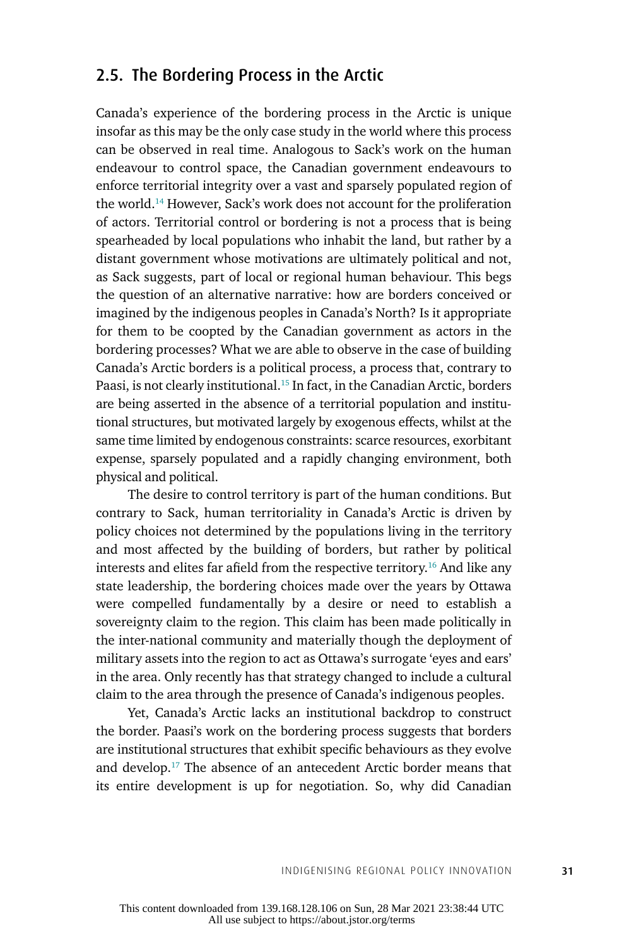#### 2.5. The Bordering Process in the Arctic

Canada's experience of the bordering process in the Arctic is unique insofar as this may be the only case study in the world where this process can be observed in real time. Analogous to Sack's work on the human endeavour to control space, the Canadian government endeavours to enforce territorial integrity over a vast and sparsely populated region of the world.14 However, Sack's work does not account for the proliferation of actors. Territorial control or bordering is not a process that is being spearheaded by local populations who inhabit the land, but rather by a distant government whose motivations are ultimately political and not, as Sack suggests, part of local or regional human behaviour. This begs the question of an alternative narrative: how are borders conceived or imagined by the indigenous peoples in Canada's North? Is it appropriate for them to be coopted by the Canadian government as actors in the bordering processes? What we are able to observe in the case of building Canada's Arctic borders is a political process, a process that, contrary to Paasi, is not clearly institutional.<sup>15</sup> In fact, in the Canadian Arctic, borders are being asserted in the absence of a territorial population and institutional structures, but motivated largely by exogenous effects, whilst at the same time limited by endogenous constraints: scarce resources, exorbitant expense, sparsely populated and a rapidly changing environment, both physical and political.

The desire to control territory is part of the human conditions. But contrary to Sack, human territoriality in Canada's Arctic is driven by policy choices not determined by the populations living in the territory and most affected by the building of borders, but rather by political interests and elites far afield from the respective territory.16 And like any state leadership, the bordering choices made over the years by Ottawa were compelled fundamentally by a desire or need to establish a sovereignty claim to the region. This claim has been made politically in the inter-national community and materially though the deployment of military assets into the region to act as Ottawa's surrogate 'eyes and ears' in the area. Only recently has that strategy changed to include a cultural claim to the area through the presence of Canada's indigenous peoples.

Yet, Canada's Arctic lacks an institutional backdrop to construct the border. Paasi's work on the bordering process suggests that borders are institutional structures that exhibit specific behaviours as they evolve and develop.17 The absence of an antecedent Arctic border means that its entire development is up for negotiation. So, why did Canadian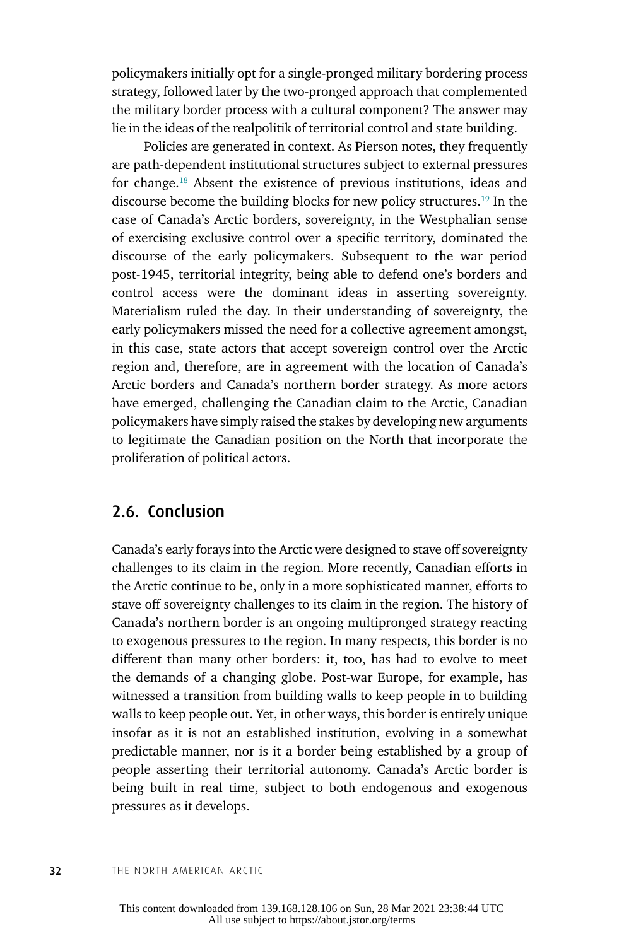policymakers initially opt for a single-pronged military bordering process strategy, followed later by the two-pronged approach that complemented the military border process with a cultural component? The answer may lie in the ideas of the realpolitik of territorial control and state building.

Policies are generated in context. As Pierson notes, they frequently are path-dependent institutional structures subject to external pressures for change.18 Absent the existence of previous institutions, ideas and discourse become the building blocks for new policy structures.<sup>19</sup> In the case of Canada's Arctic borders, sovereignty, in the Westphalian sense of exercising exclusive control over a specific territory, dominated the discourse of the early policymakers. Subsequent to the war period post-1945, territorial integrity, being able to defend one's borders and control access were the dominant ideas in asserting sovereignty. Materialism ruled the day. In their understanding of sovereignty, the early policymakers missed the need for a collective agreement amongst, in this case, state actors that accept sovereign control over the Arctic region and, therefore, are in agreement with the location of Canada's Arctic borders and Canada's northern border strategy. As more actors have emerged, challenging the Canadian claim to the Arctic, Canadian policymakers have simply raised the stakes by developing new arguments to legitimate the Canadian position on the North that incorporate the proliferation of political actors.

#### 2.6. Conclusion

Canada's early forays into the Arctic were designed to stave off sovereignty challenges to its claim in the region. More recently, Canadian efforts in the Arctic continue to be, only in a more sophisticated manner, efforts to stave off sovereignty challenges to its claim in the region. The history of Canada's northern border is an ongoing multipronged strategy reacting to exogenous pressures to the region. In many respects, this border is no different than many other borders: it, too, has had to evolve to meet the demands of a changing globe. Post-war Europe, for example, has witnessed a transition from building walls to keep people in to building walls to keep people out. Yet, in other ways, this border is entirely unique insofar as it is not an established institution, evolving in a somewhat predictable manner, nor is it a border being established by a group of people asserting their territorial autonomy. Canada's Arctic border is being built in real time, subject to both endogenous and exogenous pressures as it develops.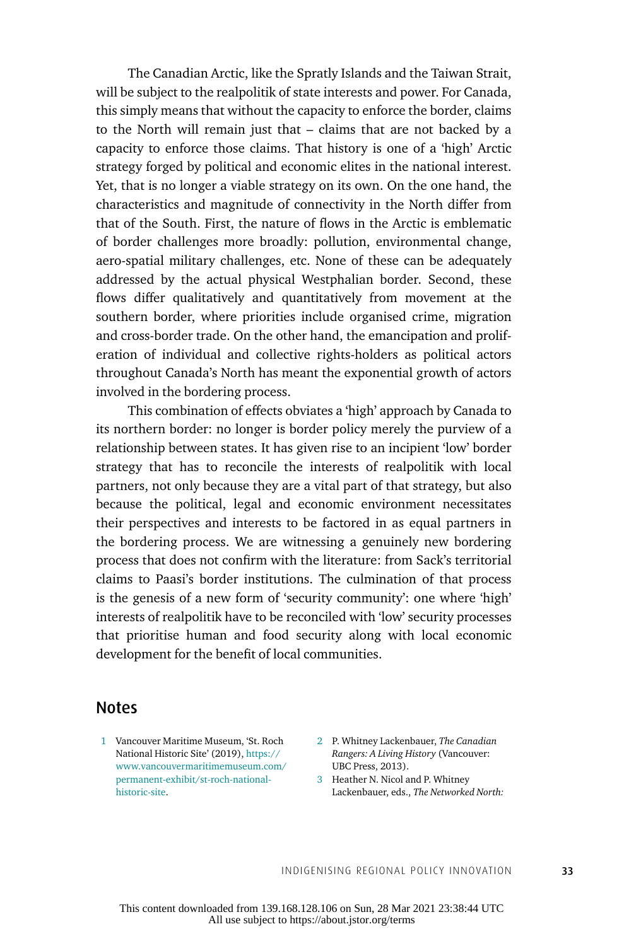The Canadian Arctic, like the Spratly Islands and the Taiwan Strait, will be subject to the realpolitik of state interests and power. For Canada, this simply means that without the capacity to enforce the border, claims to the North will remain just that – claims that are not backed by a capacity to enforce those claims. That history is one of a 'high' Arctic strategy forged by political and economic elites in the national interest. Yet, that is no longer a viable strategy on its own. On the one hand, the characteristics and magnitude of connectivity in the North differ from that of the South. First, the nature of flows in the Arctic is emblematic of border challenges more broadly: pollution, environmental change, aero-spatial military challenges, etc. None of these can be adequately addressed by the actual physical Westphalian border. Second, these flows differ qualitatively and quantitatively from movement at the southern border, where priorities include organised crime, migration and cross-border trade. On the other hand, the emancipation and proliferation of individual and collective rights-holders as political actors throughout Canada's North has meant the exponential growth of actors involved in the bordering process.

This combination of effects obviates a 'high' approach by Canada to its northern border: no longer is border policy merely the purview of a relationship between states. It has given rise to an incipient 'low' border strategy that has to reconcile the interests of realpolitik with local partners, not only because they are a vital part of that strategy, but also because the political, legal and economic environment necessitates their perspectives and interests to be factored in as equal partners in the bordering process. We are witnessing a genuinely new bordering process that does not confirm with the literature: from Sack's territorial claims to Paasi's border institutions. The culmination of that process is the genesis of a new form of 'security community': one where 'high' interests of realpolitik have to be reconciled with 'low' security processes that prioritise human and food security along with local economic development for the benefit of local communities.

#### Notes

- 1 Vancouver Maritime Museum, 'St. Roch National Historic Site' (2019), [https://](https://www.vancouvermaritimemuseum.com/permanent-exhibit/st-roch-national-historic-site) [www.vancouvermaritimemuseum.com/](https://www.vancouvermaritimemuseum.com/permanent-exhibit/st-roch-national-historic-site) [permanent-exhibit/st-roch-national](https://www.vancouvermaritimemuseum.com/permanent-exhibit/st-roch-national-historic-site)[historic-site](https://www.vancouvermaritimemuseum.com/permanent-exhibit/st-roch-national-historic-site).
- 2 P. Whitney Lackenbauer, *The Canadian Rangers: A Living History* (Vancouver: UBC Press, 2013).
- 3 Heather N. Nicol and P. Whitney Lackenbauer, eds., *The Networked North:*